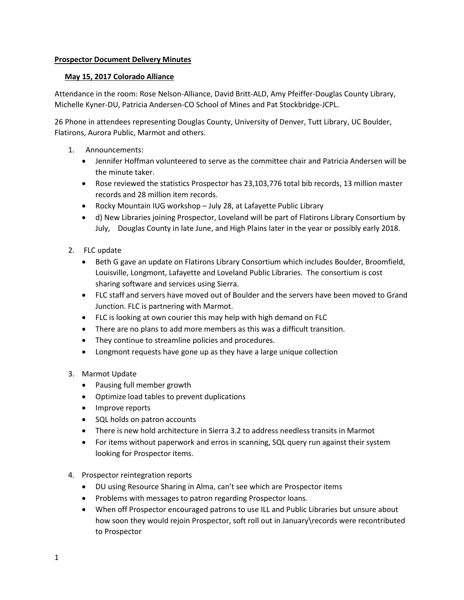### **Prospector Document Delivery Minutes**

## **May 15, 2017 Colorado Alliance**

Attendance in the room: Rose Nelson-Alliance, David Britt-ALD, Amy Pfeiffer-Douglas County Library, Michelle Kyner-DU, Patricia Andersen-CO School of Mines and Pat Stockbridge-JCPL.

26 Phone in attendees representing Douglas County, University of Denver, Tutt Library, UC Boulder, Flatirons, Aurora Public, Marmot and others.

- 1. Announcements:
	- Jennifer Hoffman volunteered to serve as the committee chair and Patricia Andersen will be the minute taker.
	- Rose reviewed the statistics Prospector has 23,103,776 total bib records, 13 million master records and 28 million item records.
	- Rocky Mountain IUG workshop July 28, at Lafayette Public Library
	- d) New Libraries joining Prospector, Loveland will be part of Flatirons Library Consortium by July, Douglas County in late June, and High Plains later in the year or possibly early 2018.
- 2. FLC update
	- Beth G gave an update on Flatirons Library Consortium which includes Boulder, Broomfield, Louisville, Longmont, Lafayette and Loveland Public Libraries. The consortium is cost sharing software and services using Sierra.
	- FLC staff and servers have moved out of Boulder and the servers have been moved to Grand Junction. FLC is partnering with Marmot.
	- FLC is looking at own courier this may help with high demand on FLC
	- There are no plans to add more members as this was a difficult transition.
	- They continue to streamline policies and procedures.
	- Longmont requests have gone up as they have a large unique collection

#### 3. Marmot Update

- Pausing full member growth
- Optimize load tables to prevent duplications
- Improve reports
- SQL holds on patron accounts
- There is new hold architecture in Sierra 3.2 to address needless transits in Marmot
- For items without paperwork and erros in scanning, SQL query run against their system looking for Prospector items.

#### 4. Prospector reintegration reports

- DU using Resource Sharing in Alma, can't see which are Prospector items
- Problems with messages to patron regarding Prospector loans.
- When off Prospector encouraged patrons to use ILL and Public Libraries but unsure about how soon they would rejoin Prospector, soft roll out in January\records were recontributed to Prospector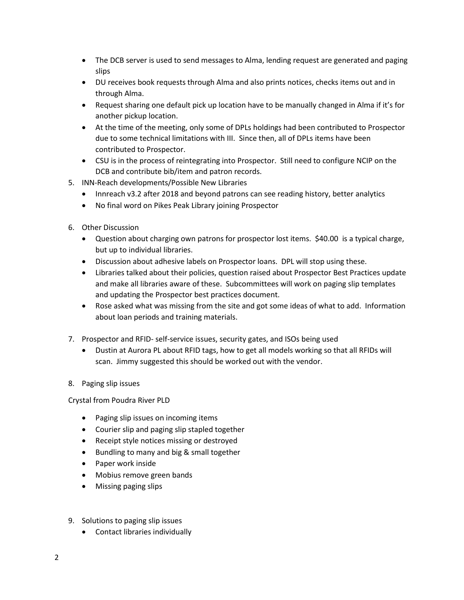- The DCB server is used to send messages to Alma, lending request are generated and paging slips
- DU receives book requests through Alma and also prints notices, checks items out and in through Alma.
- Request sharing one default pick up location have to be manually changed in Alma if it's for another pickup location.
- At the time of the meeting, only some of DPLs holdings had been contributed to Prospector due to some technical limitations with III. Since then, all of DPLs items have been contributed to Prospector.
- CSU is in the process of reintegrating into Prospector. Still need to configure NCIP on the DCB and contribute bib/item and patron records.
- 5. INN-Reach developments/Possible New Libraries
	- Innreach v3.2 after 2018 and beyond patrons can see reading history, better analytics
	- No final word on Pikes Peak Library joining Prospector
- 6. Other Discussion
	- Question about charging own patrons for prospector lost items. \$40.00 is a typical charge, but up to individual libraries.
	- Discussion about adhesive labels on Prospector loans. DPL will stop using these.
	- Libraries talked about their policies, question raised about Prospector Best Practices update and make all libraries aware of these. Subcommittees will work on paging slip templates and updating the Prospector best practices document.
	- Rose asked what was missing from the site and got some ideas of what to add. Information about loan periods and training materials.
- 7. Prospector and RFID- self-service issues, security gates, and ISOs being used
	- Dustin at Aurora PL about RFID tags, how to get all models working so that all RFIDs will scan. Jimmy suggested this should be worked out with the vendor.

# 8. Paging slip issues

Crystal from Poudra River PLD

- Paging slip issues on incoming items
- Courier slip and paging slip stapled together
- Receipt style notices missing or destroyed
- Bundling to many and big & small together
- Paper work inside
- Mobius remove green bands
- Missing paging slips
- 9. Solutions to paging slip issues
	- Contact libraries individually